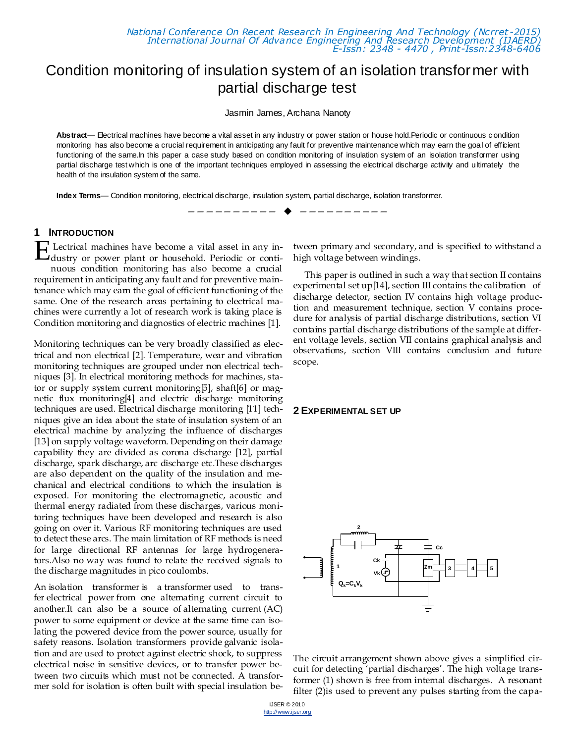*National Conference On Recent Research In Engineering And Technology (Ncrret -2015) International Journal Of Advance Engineering And Research Development (IJAERD) E-Issn: 2348 - 4470 , Print-Issn:2348-6406*

# Condition monitoring of insulation system of an isolation transformer with partial discharge test

Jasmin James, Archana Nanoty

Abstract— Electrical machines have become a vital asset in any industry or power station or house hold.Periodic or continuous condition monitoring has also become a crucial requirement in anticipating any fault for preventive maintenance which may earn the goal of efficient functioning of the same.In this paper a case study based on condition monitoring of insulation system of an isolation transformer using partial discharge test which is one of the important techniques employed in assessing the electrical discharge activity and ultimately the health of the insulation system of the same.

—————————— ——————————

**Index Terms**— Condition monitoring, electrical discharge, insulation system, partial discharge, isolation transformer.

#### **1 INTRODUCTION**

Lectrical machines have become a vital asset in any industry or power plant or household. Periodic or continuous condition monitoring has also become a crucial requirement in anticipating any fault and for preventive maintenance which may earn the goal of efficient functioning of the same. One of the research areas pertaining to electrical machines were currently a lot of research work is taking place is Condition monitoring and diagnostics of electric machines [1]. E

Monitoring techniques can be very broadly classified as electrical and non electrical [2]. Temperature, wear and vibration monitoring techniques are grouped under non electrical techniques [3]. In electrical monitoring methods for machines, stator or supply system current monitoring[5], shaft[6] or magnetic flux monitoring[4] and electric discharge monitoring techniques are used. Electrical discharge monitoring [11] techniques give an idea about the state of insulation system of an electrical machine by analyzing the influence of discharges [13] on supply voltage waveform. Depending on their damage capability they are divided as corona discharge [12], partial discharge, spark discharge, arc discharge etc.These discharges are also dependent on the quality of the insulation and mechanical and electrical conditions to which the insulation is exposed. For monitoring the electromagnetic, acoustic and thermal energy radiated from these discharges, various monitoring techniques have been developed and research is also going on over it. Various RF monitoring techniques are used to detect these arcs. The main limitation of RF methods is need for large directional RF antennas for large hydrogenerators.Also no way was found to relate the received signals to the discharge magnitudes in pico coulombs.

An isolation transformer is a [transformer](http://en.wikipedia.org/wiki/Transformer) used to transfer [electrical power](http://en.wikipedia.org/wiki/Electrical_power) from one alternating current circuit to another.It can also be a source of [alternating current](http://en.wikipedia.org/wiki/Alternating_current) (AC) power to some equipment or device at the same time can isolating the powered device from the power source, usually for safety reasons. Isolation transformers provide [galvanic isola](http://en.wikipedia.org/wiki/Galvanic_isolation)[tion](http://en.wikipedia.org/wiki/Galvanic_isolation) and are used to protect against electric shock, to suppress electrical noise in sensitive devices, or to transfer power between two circuits which must not be connected. A transformer sold for isolation is often built with special insulation between primary and secondary, and is specified to withstand a high voltage between windings.

This paper is outlined in such a way that section II contains experimental set up[14], section III contains the calibration of discharge detector, section IV contains high voltage production and measurement technique, section V contains procedure for analysis of partial discharge distributions, section VI contains partial discharge distributions of the sample at different voltage levels, section VII contains graphical analysis and observations, section VIII contains conclusion and future scope.

#### **2 EXPERIMENTAL SET UP**



The circuit arrangement shown above gives a simplified circuit for detecting 'partial discharges'. The high voltage transformer (1) shown is free from internal discharges. A resonant filter (2)is used to prevent any pulses starting from the capa-

IJSER © 2010 http://www.ijser.org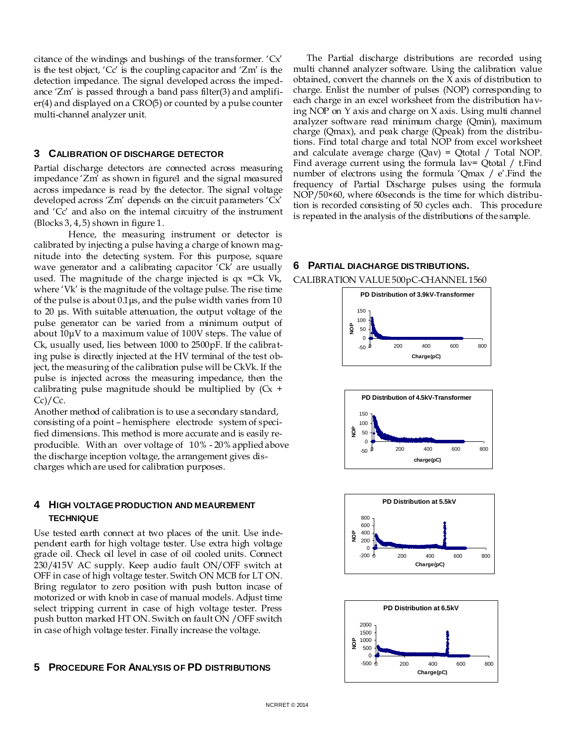citance of the windings and bushings of the transformer. 'Cx' is the test object, 'Cc' is the coupling capacitor and 'Zm' is the detection impedance. The signal developed across the impedance 'Zm' is passed through a band pass filter(3) and amplifier(4) and displayed on a CRO(5) or counted by a pulse counter multi-channel analyzer unit.

### **3 CALIBRATION OF DISCHARGE DETECTOR**

Partial discharge detectors are connected across measuring impedance 'Zm' as shown in figure1 and the signal measured across impedance is read by the detector. The signal voltage developed across 'Zm' depends on the circuit parameters 'Cx' and 'Cc' and also on the internal circuitry of the instrument  $(Blocks 3, 4, 5)$  shown in figure 1.

 Hence, the measuring instrument or detector is calibrated by injecting a pulse having a charge of known magnitude into the detecting system. For this purpose, square wave generator and a calibrating capacitor 'Ck' are usually used. The magnitude of the charge injected is  $qx = Ck$  Vk, where 'Vk' is the magnitude of the voltage pulse. The rise time of the pulse is about 0.1μs, and the pulse width varies from 10 to 20 μs. With suitable attenuation, the output voltage of the pulse generator can be varied from a minimum output of about 10μV to a maximum value of 100V steps. The value of Ck, usually used, lies between 1000 to 2500pF. If the calibrating pulse is directly injected at the HV terminal of the test object, the measuring of the calibration pulse will be CkVk. If the pulse is injected across the measuring impedance, then the calibrating pulse magnitude should be multiplied by  $(Cx +$  $Cc$ )/ $Cc$ .

Another method of calibration is to use a secondary standard, consisting of a point – hemisphere electrode system of specified dimensions. This method is more accurate and is easily reproducible. With an over voltage of 10% - 20% applied above the discharge inception voltage, the arrangement gives discharges which are used for calibration purposes.

# **4 HIGH VOLTAGE PRODUCTION AND MEAUREMENT TECHNIQUE**

Use tested earth connect at two places of the unit. Use independent earth for high voltage tester. Use extra high voltage grade oil. Check oil level in case of oil cooled units. Connect 230/415V AC supply. Keep audio fault ON/OFF switch at OFF in case of high voltage tester. Switch ON MCB for LT ON. Bring regulator to zero position with push button incase of motorized or with knob in case of manual models. Adjust time select tripping current in case of high voltage tester. Press push button marked HT ON. Switch on fault ON /OFF switch in case of high voltage tester. Finally increase the voltage.

# **5 PROCEDURE FOR ANALYSIS OF PD DISTRIBUTIONS**

The Partial discharge distributions are recorded using multi channel analyzer software. Using the calibration value obtained, convert the channels on the X axis of distribution to charge. Enlist the number of pulses (NOP) corresponding to each charge in an excel worksheet from the distribution having NOP on Y axis and charge on X axis. Using multi channel analyzer software read minimum charge (Qmin), maximum charge (Qmax), and peak charge (Qpeak) from the distributions. Find total charge and total NOP from excel worksheet and calculate average charge  $(Qav) = Qtotal / Total NOP$ . Find average current using the formula Iav= Qtotal / t. Find number of electrons using the formula 'Qmax / e'.Find the frequency of Partial Discharge pulses using the formula NOP/50×60, where 60seconds is the time for which distribution is recorded consisting of 50 cycles each. This procedure is repeated in the analysis of the distributions of the sample.

#### **6 PARTIAL DIACHARGE DISTRIBUTIONS.**

CALIBRATION VALUE 500pC-CHANNEL 1560







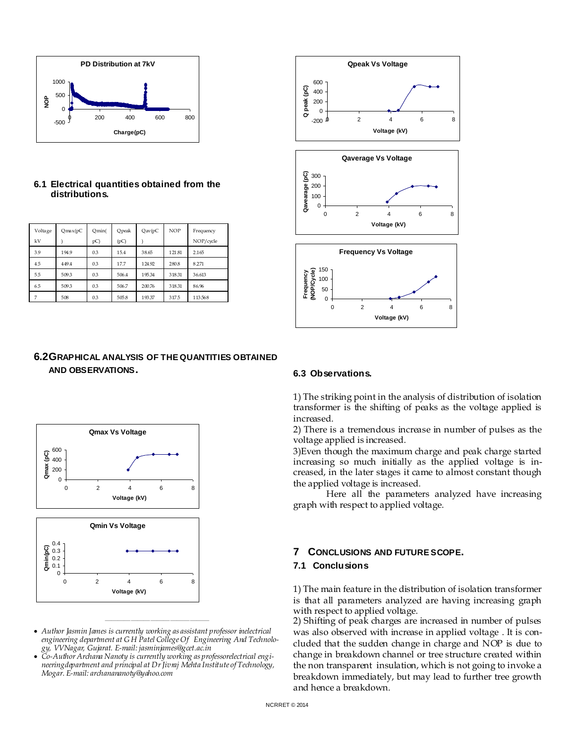

# **6.1 Electrical quantities obtained from the distributions.**

| Voltage | Qmx(pC) | Omin( | Qpeak | Qav(pC) | <b>NOP</b> | Frequency |
|---------|---------|-------|-------|---------|------------|-----------|
| kV      |         | pC)   | (pC)  |         |            | NOP/cycle |
| 39      | 194.9   | 03    | 15.4  | 38.65   | 121.81     | 2.165     |
| 4.5     | 449.4   | 03    | 17.7  | 124.92  | 2808       | 8271      |
| 55      | 5093    | 03    | 506.4 | 195.34  | 318.31     | 36.613    |
| 65      | 5093    | 03    | 506.7 | 200.76  | 318.31     | 86.96     |
| 7       | 508     | 03    | 5058  | 193.37  | 3175       | 113568    |

# **6.2GRAPHICAL ANALYSIS OF THE QUANTITIES OBTAINED AND OBSERVATIONS.**



 *Author Jasmin James is currently working as assistant professor inelectrical engineering department at G H Patel College Of Engineering And Technology, VVNagar, Gujarat. E-mail: jasminjames@gcet.ac.in*

————————————————

 *Co-Author Archana Nanoty is currently working as professorelectrical engineeringdepartment and principal at Dr Jivraj Mehta Institute of Technology, Mogar. E-mail: archanananoty@yahoo.com*



#### **6.3 Observations.**

1) The striking point in the analysis of distribution of isolation transformer is the shifting of peaks as the voltage applied is increased.

2) There is a tremendous increase in number of pulses as the voltage applied is increased.

3)Even though the maximum charge and peak charge started increasing so much initially as the applied voltage is increased, in the later stages it came to almost constant though the applied voltage is increased.

 Here all the parameters analyzed have increasing graph with respect to applied voltage.

# **7 CONCLUSIONS AND FUTURE SCOPE.**

# **7.1 Conclusions**

1) The main feature in the distribution of isolation transformer is that all parameters analyzed are having increasing graph with respect to applied voltage.

2) Shifting of peak charges are increased in number of pulses was also observed with increase in applied voltage . It is concluded that the sudden change in charge and NOP is due to change in breakdown channel or tree structure created within the non transparent insulation, which is not going to invoke a breakdown immediately, but may lead to further tree growth and hence a breakdown.